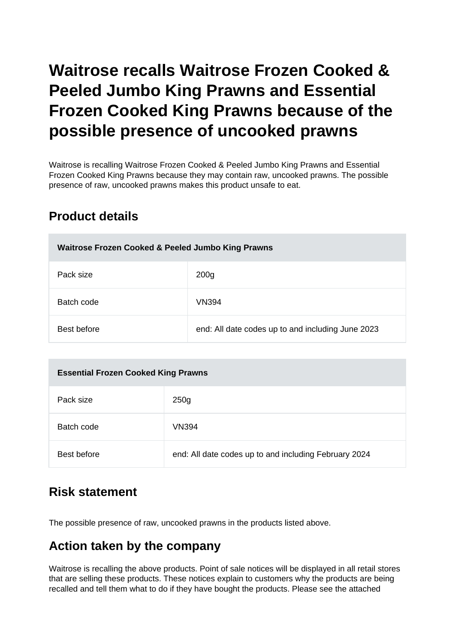# **Waitrose recalls Waitrose Frozen Cooked & Peeled Jumbo King Prawns and Essential Frozen Cooked King Prawns because of the possible presence of uncooked prawns**

Waitrose is recalling Waitrose Frozen Cooked & Peeled Jumbo King Prawns and Essential Frozen Cooked King Prawns because they may contain raw, uncooked prawns. The possible presence of raw, uncooked prawns makes this product unsafe to eat.

#### **Product details**

| Waitrose Frozen Cooked & Peeled Jumbo King Prawns |                                                   |
|---------------------------------------------------|---------------------------------------------------|
| Pack size                                         | 200 <sub>g</sub>                                  |
| Batch code                                        | VN394                                             |
| Best before                                       | end: All date codes up to and including June 2023 |

| <b>Essential Frozen Cooked King Prawns</b> |                                                       |
|--------------------------------------------|-------------------------------------------------------|
| Pack size                                  | 250 <sub>g</sub>                                      |
| Batch code                                 | <b>VN394</b>                                          |
| Best before                                | end: All date codes up to and including February 2024 |

#### **Risk statement**

The possible presence of raw, uncooked prawns in the products listed above.

## **Action taken by the company**

Waitrose is recalling the above products. Point of sale notices will be displayed in all retail stores that are selling these products. These notices explain to customers why the products are being recalled and tell them what to do if they have bought the products. Please see the attached